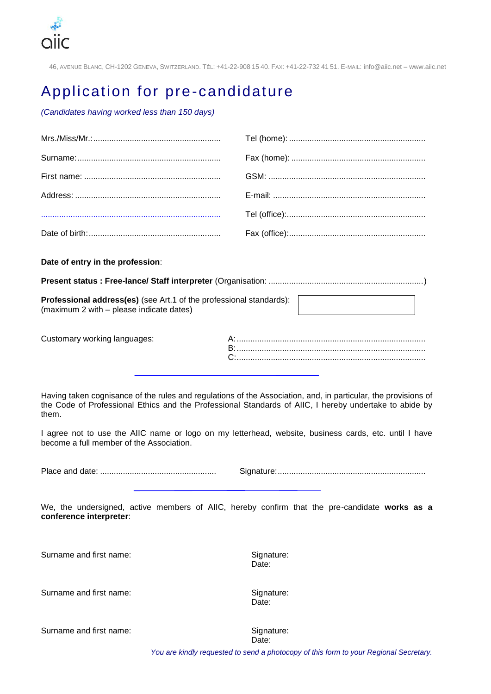

46, AVENUE BLANC, CH-1202 GENEVA, SWITZERLAND. TÉL: +41-22-908 15 40. FAX: +41-22-732 41 51. E-MAIL: info@aiic.net – www.aiic.net

## Application for pre-candidature

*(Candidates having worked less than 150 days)*

**Date of entry in the profession**:

**Present status : Free-lance/ Staff interpreter** (Organisation: ....................................................................)

**Professional address(es)** (see Art.1 of the professional standards): (maximum 2 with – please indicate dates)

| Customary working languages: |  |
|------------------------------|--|
|                              |  |
|                              |  |

Having taken cognisance of the rules and regulations of the Association, and, in particular, the provisions of the Code of Professional Ethics and the Professional Standards of AIIC, I hereby undertake to abide by them.

I agree not to use the AIIC name or logo on my letterhead, website, business cards, etc. until I have become a full member of the Association.

Place and date: ................................................... Signature:.................................................................

We, the undersigned, active members of AIIC, hereby confirm that the pre-candidate **works as a conference interpreter**:

Surname and first name: Signature: Signature:

Date:

Surname and first name: Signature: Signature:

Date:

Surname and first name: Signature: Signature:

Date:

*You are kindly requested to send a photocopy of this form to your Regional Secretary.*